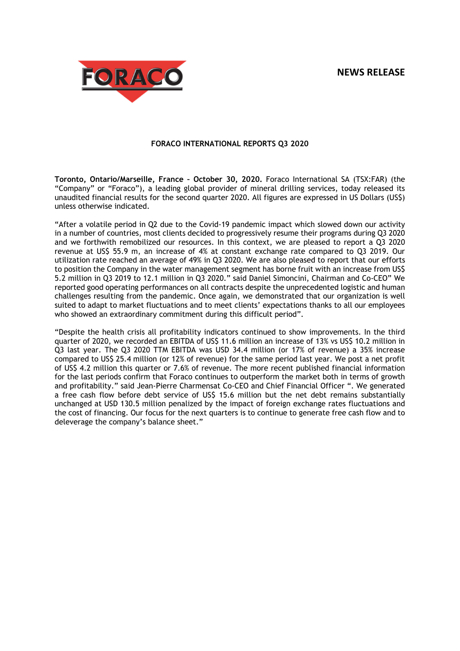# **NEWS RELEASE**



# **FORACO INTERNATIONAL REPORTS Q3 2020**

**Toronto, Ontario/Marseille, France – October 30, 2020.** Foraco International SA (TSX:FAR) (the "Company" or "Foraco"), a leading global provider of mineral drilling services, today released its unaudited financial results for the second quarter 2020. All figures are expressed in US Dollars (US\$) unless otherwise indicated.

"After a volatile period in Q2 due to the Covid-19 pandemic impact which slowed down our activity in a number of countries, most clients decided to progressively resume their programs during Q3 2020 and we forthwith remobilized our resources. In this context, we are pleased to report a Q3 2020 revenue at US\$ 55.9 m, an increase of 4% at constant exchange rate compared to Q3 2019. Our utilization rate reached an average of 49% in Q3 2020. We are also pleased to report that our efforts to position the Company in the water management segment has borne fruit with an increase from US\$ 5.2 million in Q3 2019 to 12.1 million in Q3 2020." said Daniel Simoncini, Chairman and Co-CEO" We reported good operating performances on all contracts despite the unprecedented logistic and human challenges resulting from the pandemic. Once again, we demonstrated that our organization is well suited to adapt to market fluctuations and to meet clients' expectations thanks to all our employees who showed an extraordinary commitment during this difficult period".

"Despite the health crisis all profitability indicators continued to show improvements. In the third quarter of 2020, we recorded an EBITDA of US\$ 11.6 million an increase of 13% vs US\$ 10.2 million in Q3 last year. The Q3 2020 TTM EBITDA was USD 34.4 million (or 17% of revenue) a 35% increase compared to US\$ 25.4 million (or 12% of revenue) for the same period last year. We post a net profit of US\$ 4.2 million this quarter or 7.6% of revenue. The more recent published financial information for the last periods confirm that Foraco continues to outperform the market both in terms of growth and profitability." said Jean-Pierre Charmensat Co-CEO and Chief Financial Officer ". We generated a free cash flow before debt service of US\$ 15.6 million but the net debt remains substantially unchanged at USD 130.5 million penalized by the impact of foreign exchange rates fluctuations and the cost of financing. Our focus for the next quarters is to continue to generate free cash flow and to deleverage the company's balance sheet."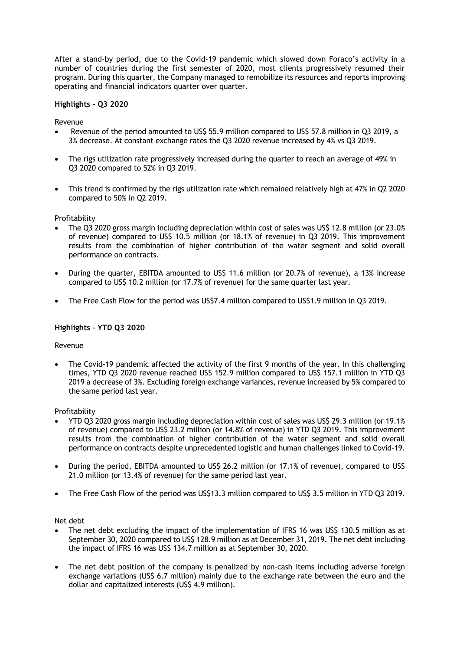After a stand-by period, due to the Covid-19 pandemic which slowed down Foraco's activity in a number of countries during the first semester of 2020, most clients progressively resumed their program. During this quarter, the Company managed to remobilize its resources and reports improving operating and financial indicators quarter over quarter.

# **Highlights – Q3 2020**

Revenue

- Revenue of the period amounted to US\$ 55.9 million compared to US\$ 57.8 million in Q3 2019, a 3% decrease. At constant exchange rates the Q3 2020 revenue increased by 4% vs Q3 2019.
- The rigs utilization rate progressively increased during the quarter to reach an average of 49% in Q3 2020 compared to 52% in Q3 2019.
- This trend is confirmed by the rigs utilization rate which remained relatively high at 47% in Q2 2020 compared to 50% in Q2 2019.

Profitability

- The Q3 2020 gross margin including depreciation within cost of sales was US\$ 12.8 million (or 23.0% of revenue) compared to US\$ 10.5 million (or 18.1% of revenue) in Q3 2019. This improvement results from the combination of higher contribution of the water segment and solid overall performance on contracts.
- During the quarter, EBITDA amounted to US\$ 11.6 million (or 20.7% of revenue), a 13% increase compared to US\$ 10.2 million (or 17.7% of revenue) for the same quarter last year.
- The Free Cash Flow for the period was US\$7.4 million compared to US\$1.9 million in Q3 2019.

## **Highlights – YTD Q3 2020**

## Revenue

 The Covid-19 pandemic affected the activity of the first 9 months of the year. In this challenging times, YTD Q3 2020 revenue reached US\$ 152.9 million compared to US\$ 157.1 million in YTD Q3 2019 a decrease of 3%. Excluding foreign exchange variances, revenue increased by 5% compared to the same period last year.

Profitability

- YTD Q3 2020 gross margin including depreciation within cost of sales was US\$ 29.3 million (or 19.1% of revenue) compared to US\$ 23.2 million (or 14.8% of revenue) in YTD Q3 2019. This improvement results from the combination of higher contribution of the water segment and solid overall performance on contracts despite unprecedented logistic and human challenges linked to Covid-19.
- During the period, EBITDA amounted to US\$ 26.2 million (or 17.1% of revenue), compared to US\$ 21.0 million (or 13.4% of revenue) for the same period last year.
- The Free Cash Flow of the period was US\$13.3 million compared to US\$ 3.5 million in YTD Q3 2019.

Net debt

- The net debt excluding the impact of the implementation of IFRS 16 was US\$ 130.5 million as at September 30, 2020 compared to US\$ 128.9 million as at December 31, 2019. The net debt including the impact of IFRS 16 was US\$ 134.7 million as at September 30, 2020.
- The net debt position of the company is penalized by non-cash items including adverse foreign exchange variations (US\$ 6.7 million) mainly due to the exchange rate between the euro and the dollar and capitalized interests (US\$ 4.9 million).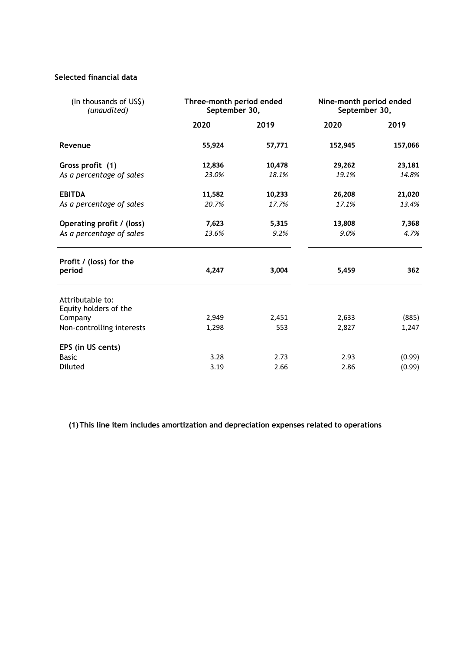# **Selected financial data**

| (In thousands of US\$)<br>(unaudited)     | Three-month period ended<br>September 30, |        | Nine-month period ended<br>September 30, |         |
|-------------------------------------------|-------------------------------------------|--------|------------------------------------------|---------|
|                                           | 2020                                      | 2019   | 2020                                     | 2019    |
| Revenue                                   | 55,924                                    | 57,771 | 152,945                                  | 157,066 |
| Gross profit (1)                          | 12,836                                    | 10,478 | 29,262                                   | 23,181  |
| As a percentage of sales                  | 23.0%                                     | 18.1%  | 19.1%                                    | 14.8%   |
| <b>EBITDA</b>                             | 11,582                                    | 10,233 | 26,208                                   | 21,020  |
| As a percentage of sales                  | 20.7%                                     | 17.7%  | 17.1%                                    | 13.4%   |
| Operating profit / (loss)                 | 7,623                                     | 5,315  | 13,808                                   | 7,368   |
| As a percentage of sales                  | 13.6%                                     | 9.2%   | 9.0%                                     | 4.7%    |
| Profit / (loss) for the<br>period         | 4,247                                     | 3,004  | 5,459                                    | 362     |
| Attributable to:<br>Equity holders of the |                                           |        |                                          |         |
| Company                                   | 2,949                                     | 2,451  | 2,633                                    | (885)   |
| Non-controlling interests                 | 1,298                                     | 553    | 2,827                                    | 1,247   |
| EPS (in US cents)                         |                                           |        |                                          |         |
| <b>Basic</b>                              | 3.28                                      | 2.73   | 2.93                                     | (0.99)  |
| Diluted                                   | 3.19                                      | 2.66   | 2.86                                     | (0.99)  |

**(1)This line item includes amortization and depreciation expenses related to operations**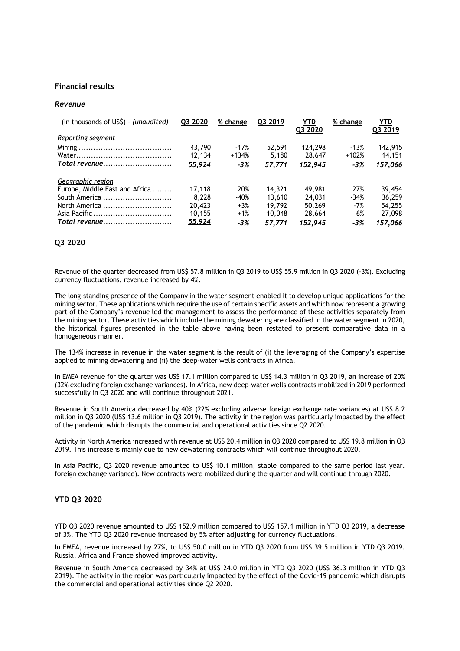#### **Financial results**

#### *Revenue*

| (In thousands of US\$) - (unaudited) | Q3 2020 | % change   | Q3 2019 | YTD<br>Q3 2020 | % change   | YTD<br>Q3 2019 |
|--------------------------------------|---------|------------|---------|----------------|------------|----------------|
| Reporting segment                    |         |            |         |                |            |                |
|                                      | 43,790  | $-17%$     | 52,591  | 124,298        | $-13%$     | 142,915        |
|                                      | 12,134  | $+134%$    | 5,180   | 28,647         | $+102%$    | 14,151         |
| Total revenue                        | 55,924  | $-3%$      | 57,771  | <u>152,945</u> | $-3%$      | <u>157,066</u> |
|                                      |         |            |         |                |            |                |
| Geographic region                    |         |            |         |                |            |                |
| Europe, Middle East and Africa       | 17,118  | 20%        | 14,321  | 49,981         | 27%        | 39,454         |
| South America                        | 8.228   | $-40%$     | 13,610  | 24,031         | $-34%$     | 36,259         |
| North America                        | 20,423  | $+3%$      | 19,792  | 50,269         | $-7%$      | 54.255         |
|                                      | 10,155  | $+1%$      | 10,048  | 28,664         | 6%         | 27,098         |
| Total revenue                        | 55,924  | <u>-3%</u> | 57,771  | 152,945        | <u>-3%</u> | 157,066        |

# **Q3 2020**

Revenue of the quarter decreased from US\$ 57.8 million in Q3 2019 to US\$ 55.9 million in Q3 2020 (-3%). Excluding currency fluctuations, revenue increased by 4%.

The long-standing presence of the Company in the water segment enabled it to develop unique applications for the mining sector. These applications which require the use of certain specific assets and which now represent a growing part of the Company's revenue led the management to assess the performance of these activities separately from the mining sector. These activities which include the mining dewatering are classified in the water segment in 2020, the historical figures presented in the table above having been restated to present comparative data in a homogeneous manner.

The 134% increase in revenue in the water segment is the result of (i) the leveraging of the Company's expertise applied to mining dewatering and (ii) the deep-water wells contracts in Africa.

In EMEA revenue for the quarter was US\$ 17.1 million compared to US\$ 14.3 million in Q3 2019, an increase of 20% (32% excluding foreign exchange variances). In Africa, new deep-water wells contracts mobilized in 2019 performed successfully in Q3 2020 and will continue throughout 2021.

Revenue in South America decreased by 40% (22% excluding adverse foreign exchange rate variances) at US\$ 8.2 million in Q3 2020 (US\$ 13.6 million in Q3 2019). The activity in the region was particularly impacted by the effect of the pandemic which disrupts the commercial and operational activities since Q2 2020.

Activity in North America increased with revenue at US\$ 20.4 million in Q3 2020 compared to US\$ 19.8 million in Q3 2019. This increase is mainly due to new dewatering contracts which will continue throughout 2020.

In Asia Pacific. 03 2020 revenue amounted to US\$ 10.1 million, stable compared to the same period last year. foreign exchange variance). New contracts were mobilized during the quarter and will continue through 2020.

#### **YTD Q3 2020**

YTD Q3 2020 revenue amounted to US\$ 152.9 million compared to US\$ 157.1 million in YTD Q3 2019, a decrease of 3%. The YTD Q3 2020 revenue increased by 5% after adjusting for currency fluctuations.

In EMEA, revenue increased by 27%, to US\$ 50.0 million in YTD Q3 2020 from US\$ 39.5 million in YTD Q3 2019. Russia, Africa and France showed improved activity.

Revenue in South America decreased by 34% at US\$ 24.0 million in YTD Q3 2020 (US\$ 36.3 million in YTD Q3 2019). The activity in the region was particularly impacted by the effect of the Covid-19 pandemic which disrupts the commercial and operational activities since Q2 2020.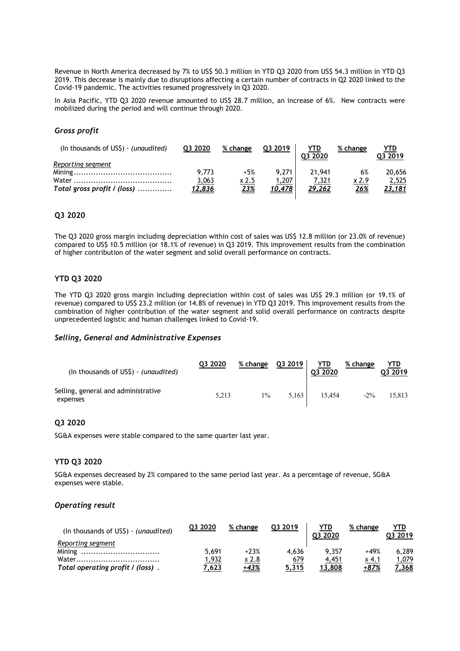Revenue in North America decreased by 7% to US\$ 50.3 million in YTD Q3 2020 from US\$ 54.3 million in YTD Q3 2019. This decrease is mainly due to disruptions affecting a certain number of contracts in Q2 2020 linked to the Covid-19 pandemic. The activities resumed progressively in Q3 2020.

In Asia Pacific, YTD Q3 2020 revenue amounted to US\$ 28.7 million, an increase of 6%. New contracts were mobilized during the period and will continue through 2020.

# *Gross profit*

| (In thousands of US\$) - (unaudited) | Q3 2020       | % change | Q3 2019       | <b>YTD</b> | % change    | YTD     |
|--------------------------------------|---------------|----------|---------------|------------|-------------|---------|
|                                      |               |          |               | Q3 2020    |             | Q3 2019 |
| <u>Reporting segment</u>             |               |          |               |            |             |         |
|                                      | 9.773         | $+5%$    | 9.271         | 21,941     | 6%          | 20,656  |
|                                      | <u>3,063</u>  | x 2.5    | 1,207         | 7,321      | x 2.9       | 2,525   |
| Total gross profit / (loss)          | <u>12,836</u> | 23%      | <u>10,478</u> | 29,262     | <u> 26%</u> | 23,181  |

# **Q3 2020**

The Q3 2020 gross margin including depreciation within cost of sales was US\$ 12.8 million (or 23.0% of revenue) compared to US\$ 10.5 million (or 18.1% of revenue) in Q3 2019. This improvement results from the combination of higher contribution of the water segment and solid overall performance on contracts.

## **YTD Q3 2020**

The YTD Q3 2020 gross margin including depreciation within cost of sales was US\$ 29.3 million (or 19.1% of revenue) compared to US\$ 23.2 million (or 14.8% of revenue) in YTD Q3 2019. This improvement results from the combination of higher contribution of the water segment and solid overall performance on contracts despite unprecedented logistic and human challenges linked to Covid-19.

#### *Selling, General and Administrative Expenses*

| (In thousands of US\$) - (unaudited)            | Q3 2020 | % change | 03 2019 | <b>YTD</b><br>03 20 20 | % change | YTD<br>Q3 2019 |
|-------------------------------------------------|---------|----------|---------|------------------------|----------|----------------|
| Selling, general and administrative<br>expenses | 5.213   | $1\%$    | 5.163   | 15.454                 | $-2\%$   | 15.813         |

## **Q3 2020**

SG&A expenses were stable compared to the same quarter last year.

## **YTD Q3 2020**

SG&A expenses decreased by 2% compared to the same period last year. As a percentage of revenue, SG&A expenses were stable.

#### *Operating result*

| (In thousands of $US\$ ) - (unaudited) | 03 2020 | % change | 03 2019 | YTD<br>03 2020 | % change | YTD<br>03 2019 |
|----------------------------------------|---------|----------|---------|----------------|----------|----------------|
| Reporting segment                      |         |          |         |                |          |                |
|                                        | 5.691   | $+23%$   | 4.636   | 9.357          | $+49%$   | 6.289          |
| Water                                  | 1,932   | x 2.8    | 679     | 4,451          | x 4.1    | 1,079          |
| Total operating profit / (loss).       | 7,623   | +43%     | 5,315   | 13,808         | +87%     | 7.368          |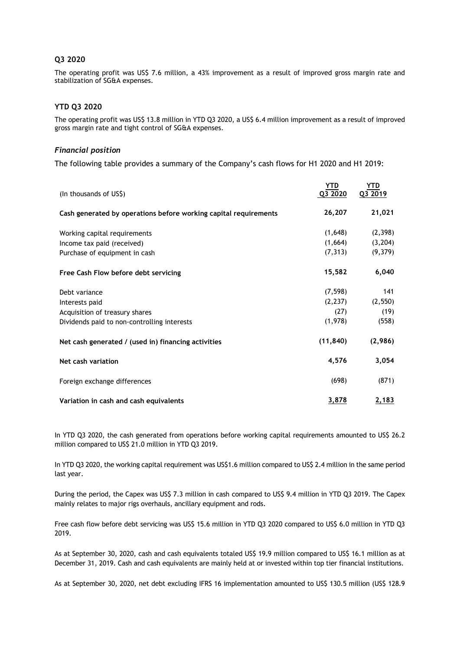# **Q3 2020**

The operating profit was US\$ 7.6 million, a 43% improvement as a result of improved gross margin rate and stabilization of SG&A expenses.

# **YTD Q3 2020**

The operating profit was US\$ 13.8 million in YTD Q3 2020, a US\$ 6.4 million improvement as a result of improved gross margin rate and tight control of SG&A expenses.

## *Financial position*

The following table provides a summary of the Company's cash flows for H1 2020 and H1 2019:

| (In thousands of US\$)                                           | YTD<br>Q3 2020 | YTD<br>Q3 2019 |
|------------------------------------------------------------------|----------------|----------------|
| Cash generated by operations before working capital requirements | 26,207         | 21,021         |
| Working capital requirements                                     | (1,648)        | (2,398)        |
| Income tax paid (received)                                       | (1,664)        | (3,204)        |
| Purchase of equipment in cash                                    | (7, 313)       | (9,379)        |
| Free Cash Flow before debt servicing                             | 15,582         | 6,040          |
| Debt variance                                                    | (7, 598)       | 141            |
| Interests paid                                                   | (2, 237)       | (2, 550)       |
| Acquisition of treasury shares                                   | (27)           | (19)           |
| Dividends paid to non-controlling interests                      | (1,978)        | (558)          |
| Net cash generated / (used in) financing activities              | (11, 840)      | (2,986)        |
| Net cash variation                                               | 4,576          | 3,054          |
| Foreign exchange differences                                     | (698)          | (871)          |
| Variation in cash and cash equivalents                           | 3,878          | 2,183          |

In YTD Q3 2020, the cash generated from operations before working capital requirements amounted to US\$ 26.2 million compared to US\$ 21.0 million in YTD Q3 2019.

In YTD Q3 2020, the working capital requirement was US\$1.6 million compared to US\$ 2.4 million in the same period last year.

During the period, the Capex was US\$ 7.3 million in cash compared to US\$ 9.4 million in YTD Q3 2019. The Capex mainly relates to major rigs overhauls, ancillary equipment and rods.

Free cash flow before debt servicing was US\$ 15.6 million in YTD Q3 2020 compared to US\$ 6.0 million in YTD Q3 2019.

As at September 30, 2020, cash and cash equivalents totaled US\$ 19.9 million compared to US\$ 16.1 million as at December 31, 2019. Cash and cash equivalents are mainly held at or invested within top tier financial institutions.

As at September 30, 2020, net debt excluding IFRS 16 implementation amounted to US\$ 130.5 million (US\$ 128.9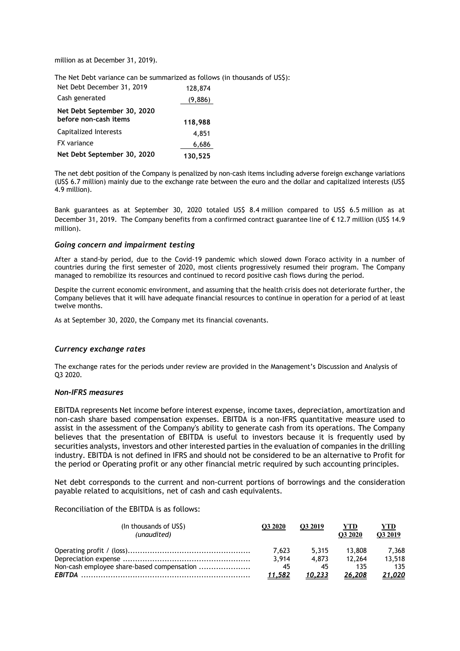million as at December 31, 2019).

The Net Debt variance can be summarized as follows (in thousands of US\$):

| Net Debt December 31, 2019                           | 128,874 |
|------------------------------------------------------|---------|
| Cash generated                                       | (9,886) |
| Net Debt September 30, 2020<br>before non-cash items | 118,988 |
| Capitalized Interests                                | 4,851   |
| <b>FX</b> variance                                   | 6,686   |
| Net Debt September 30, 2020                          | 130,525 |

The net debt position of the Company is penalized by non-cash items including adverse foreign exchange variations (US\$ 6.7 million) mainly due to the exchange rate between the euro and the dollar and capitalized interests (US\$ 4.9 million).

Bank guarantees as at September 30, 2020 totaled US\$ 8.4 million compared to US\$ 6.5 million as at December 31, 2019. The Company benefits from a confirmed contract guarantee line of € 12.7 million (US\$ 14.9 million).

#### *Going concern and impairment testing*

After a stand-by period, due to the Covid-19 pandemic which slowed down Foraco activity in a number of countries during the first semester of 2020, most clients progressively resumed their program. The Company managed to remobilize its resources and continued to record positive cash flows during the period.

Despite the current economic environment, and assuming that the health crisis does not deteriorate further, the Company believes that it will have adequate financial resources to continue in operation for a period of at least twelve months.

As at September 30, 2020, the Company met its financial covenants.

#### *Currency exchange rates*

The exchange rates for the periods under review are provided in the Management's Discussion and Analysis of Q3 2020.

# *Non-IFRS measures*

EBITDA represents Net income before interest expense, income taxes, depreciation, amortization and non-cash share based compensation expenses. EBITDA is a non-IFRS quantitative measure used to assist in the assessment of the Company's ability to generate cash from its operations. The Company believes that the presentation of EBITDA is useful to investors because it is frequently used by securities analysts, investors and other interested parties in the evaluation of companies in the drilling industry. EBITDA is not defined in IFRS and should not be considered to be an alternative to Profit for the period or Operating profit or any other financial metric required by such accounting principles.

Net debt corresponds to the current and non-current portions of borrowings and the consideration payable related to acquisitions, net of cash and cash equivalents.

Reconciliation of the EBITDA is as follows:

| (In thousands of US\$)<br>(unaudited)      | O3 2020       | O3 2019 | YTD<br>O3 2020 | YTD<br>O3 2019 |
|--------------------------------------------|---------------|---------|----------------|----------------|
|                                            | 7.623         | 5.315   | 13.808         | 7.368          |
|                                            | 3.914         | 4.873   | 12.264         | 13,518         |
| Non-cash employee share-based compensation | 45            |         | 135            | 135            |
|                                            | <u>11,582</u> | 10,233  | 26,208         | 21,020         |